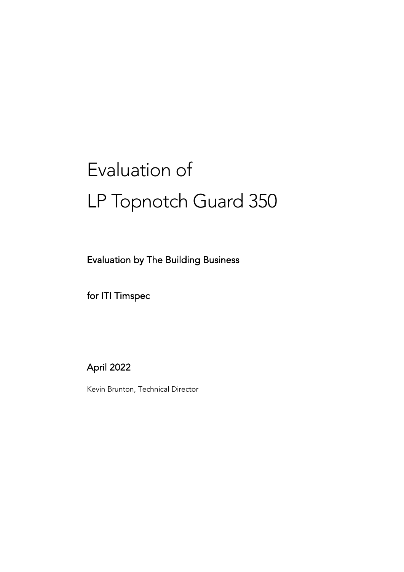# Evaluation of LP Topnotch Guard 350

Evaluation by The Building Business

for ITI Timspec

April 2022

Kevin Brunton, Technical Director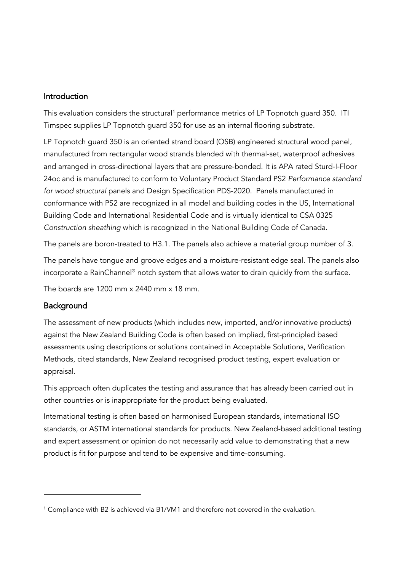### Introduction

This evaluation considers the structural<sup>1</sup> performance metrics of LP Topnotch quard 350. ITI Timspec supplies LP Topnotch guard 350 for use as an internal flooring substrate.

LP Topnotch guard 350 is an oriented strand board (OSB) engineered structural wood panel, manufactured from rectangular wood strands blended with thermal-set, waterproof adhesives and arranged in cross-directional layers that are pressure-bonded. It is APA rated Sturd-I-Floor 24oc and is manufactured to conform to Voluntary Product Standard PS2 *Performance standard for wood structural* panels and Design Specification PDS-2020. Panels manufactured in conformance with PS2 are recognized in all model and building codes in the US, International Building Code and International Residential Code and is virtually identical to CSA 0325 *Construction sheathing* which is recognized in the National Building Code of Canada.

The panels are boron-treated to H3.1. The panels also achieve a material group number of 3.

The panels have tongue and groove edges and a moisture-resistant edge seal. The panels also incorporate a RainChannel® notch system that allows water to drain quickly from the surface.

The boards are  $1200 \text{ mm} \times 2440 \text{ mm} \times 18 \text{ mm}$ .

## Background

The assessment of new products (which includes new, imported, and/or innovative products) against the New Zealand Building Code is often based on implied, first-principled based assessments using descriptions or solutions contained in Acceptable Solutions, Verification Methods, cited standards, New Zealand recognised product testing, expert evaluation or appraisal.

This approach often duplicates the testing and assurance that has already been carried out in other countries or is inappropriate for the product being evaluated.

International testing is often based on harmonised European standards, international ISO standards, or ASTM international standards for products. New Zealand-based additional testing and expert assessment or opinion do not necessarily add value to demonstrating that a new product is fit for purpose and tend to be expensive and time-consuming.

<sup>&</sup>lt;sup>1</sup> Compliance with B2 is achieved via B1/VM1 and therefore not covered in the evaluation.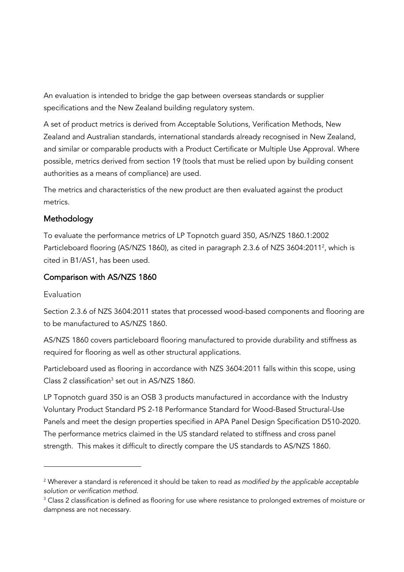An evaluation is intended to bridge the gap between overseas standards or supplier specifications and the New Zealand building regulatory system.

A set of product metrics is derived from Acceptable Solutions, Verification Methods, New Zealand and Australian standards, international standards already recognised in New Zealand, and similar or comparable products with a Product Certificate or Multiple Use Approval. Where possible, metrics derived from section 19 (tools that must be relied upon by building consent authorities as a means of compliance) are used.

The metrics and characteristics of the new product are then evaluated against the product metrics.

## Methodology

To evaluate the performance metrics of LP Topnotch guard 350, AS/NZS 1860.1:2002 Particleboard flooring (AS/NZS 1860), as cited in paragraph 2.3.6 of NZS 3604:2011<sup>2</sup>, which is cited in B1/AS1, has been used.

## Comparison with AS/NZS 1860

## Evaluation

Section 2.3.6 of NZS 3604:2011 states that processed wood-based components and flooring are to be manufactured to AS/NZS 1860.

AS/NZS 1860 covers particleboard flooring manufactured to provide durability and stiffness as required for flooring as well as other structural applications.

Particleboard used as flooring in accordance with NZS 3604:2011 falls within this scope, using Class 2 classification<sup>3</sup> set out in AS/NZS 1860.

LP Topnotch guard 350 is an OSB 3 products manufactured in accordance with the Industry Voluntary Product Standard PS 2-18 Performance Standard for Wood-Based Structural-Use Panels and meet the design properties specified in APA Panel Design Specification D510-2020. The performance metrics claimed in the US standard related to stiffness and cross panel strength. This makes it difficult to directly compare the US standards to AS/NZS 1860.

<sup>2</sup> Wherever a standard is referenced it should be taken to read *as modified by the applicable acceptable solution or verification method.*

<sup>&</sup>lt;sup>3</sup> Class 2 classification is defined as flooring for use where resistance to prolonged extremes of moisture or dampness are not necessary.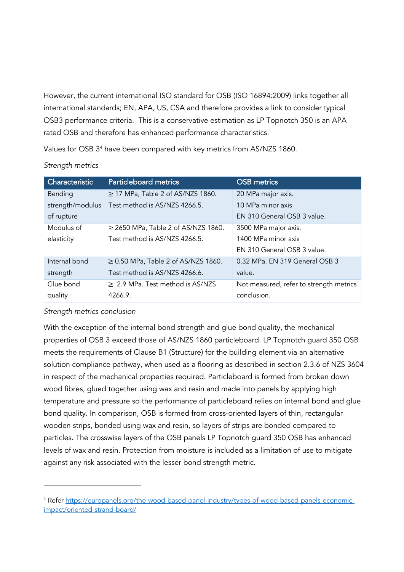However, the current international ISO standard for OSB (ISO 16894:2009) links together all international standards; EN, APA, US, CSA and therefore provides a link to consider typical OSB3 performance criteria. This is a conservative estimation as LP Topnotch 350 is an APA rated OSB and therefore has enhanced performance characteristics.

Values for OSB 3<sup>4</sup> have been compared with key metrics from AS/NZS 1860.

| Characteristic   | <b>Particleboard metrics</b>             | <b>OSB</b> metrics                      |
|------------------|------------------------------------------|-----------------------------------------|
| Bending          | $\geq$ 17 MPa, Table 2 of AS/NZS 1860.   | 20 MPa major axis.                      |
| strength/modulus | Test method is AS/NZS 4266.5.            | 10 MPa minor axis                       |
| of rupture       |                                          | EN 310 General OSB 3 value.             |
| Modulus of       | $\geq$ 2650 MPa, Table 2 of AS/NZS 1860. | 3500 MPa major axis.                    |
| elasticity       | Test method is AS/NZS 4266.5.            | 1400 MPa minor axis                     |
|                  |                                          | EN 310 General OSB 3 value.             |
| Internal bond    | $\geq$ 0.50 MPa, Table 2 of AS/NZS 1860. | 0.32 MPa. EN 319 General OSB 3          |
| strength         | Test method is AS/NZS 4266.6.            | value.                                  |
| Glue bond        | $\geq$ 2.9 MPa. Test method is AS/NZS    | Not measured, refer to strength metrics |
| quality          | 4266.9.                                  | conclusion.                             |

#### *Strength metrics*

#### *Strength metrics conclusion*

With the exception of the internal bond strength and glue bond quality, the mechanical properties of OSB 3 exceed those of AS/NZS 1860 particleboard. LP Topnotch guard 350 OSB meets the requirements of Clause B1 (Structure) for the building element via an alternative solution compliance pathway, when used as a flooring as described in section 2.3.6 of NZS 3604 in respect of the mechanical properties required. Particleboard is formed from broken down wood fibres, glued together using wax and resin and made into panels by applying high temperature and pressure so the performance of particleboard relies on internal bond and glue bond quality. In comparison, OSB is formed from cross-oriented layers of thin, rectangular wooden strips, bonded using wax and resin, so layers of strips are bonded compared to particles. The crosswise layers of the OSB panels LP Topnotch guard 350 OSB has enhanced levels of wax and resin. Protection from moisture is included as a limitation of use to mitigate against any risk associated with the lesser bond strength metric.

<sup>4</sup> Refer https://europanels.org/the-wood-based-panel-industry/types-of-wood-based-panels-economicimpact/oriented-strand-board/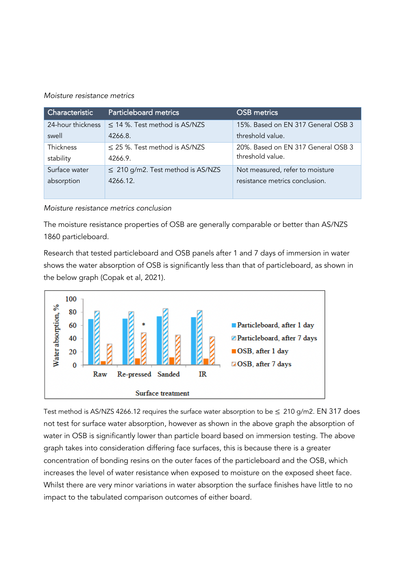#### *Moisture resistance metrics*

| Characteristic    | <b>Particleboard metrics</b>           | <b>OSB</b> metrics                 |
|-------------------|----------------------------------------|------------------------------------|
| 24-hour thickness | $\leq$ 14 %. Test method is AS/NZS     | 15%. Based on EN 317 General OSB 3 |
| swell             | 4266.8.                                | threshold value.                   |
| Thickness         | $\leq$ 25 %. Test method is AS/NZS     | 20%. Based on EN 317 General OSB 3 |
| stability         | 4266.9.                                | threshold value.                   |
| Surface water     | $\leq$ 210 g/m2. Test method is AS/NZS | Not measured, refer to moisture    |
| absorption        | 4266.12.                               | resistance metrics conclusion.     |
|                   |                                        |                                    |

*Moisture resistance metrics conclusion*

The moisture resistance properties of OSB are generally comparable or better than AS/NZS 1860 particleboard.

Research that tested particleboard and OSB panels after 1 and 7 days of immersion in water shows the water absorption of OSB is significantly less than that of particleboard, as shown in the below graph (Copak et al, 2021).



Test method is AS/NZS 4266.12 requires the surface water absorption to be  $\leq 210$  g/m2. EN 317 does not test for surface water absorption, however as shown in the above graph the absorption of water in OSB is significantly lower than particle board based on immersion testing. The above graph takes into consideration differing face surfaces, this is because there is a greater concentration of bonding resins on the outer faces of the particleboard and the OSB, which increases the level of water resistance when exposed to moisture on the exposed sheet face. Whilst there are very minor variations in water absorption the surface finishes have little to no impact to the tabulated comparison outcomes of either board.